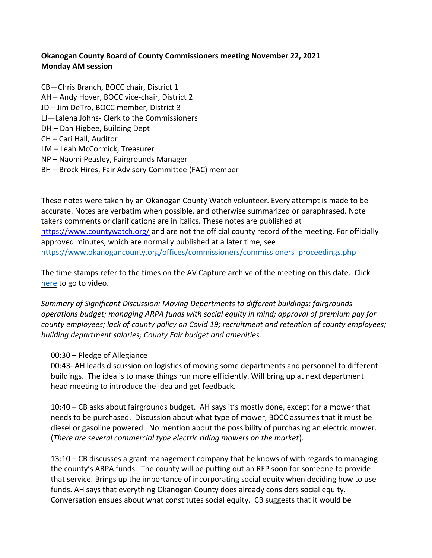## **Okanogan County Board of County Commissioners meeting November 22, 2021 Monday AM session**

CB—Chris Branch, BOCC chair, District 1 AH – Andy Hover, BOCC vice-chair, District 2 JD – Jim DeTro, BOCC member, District 3 LJ—Lalena Johns- Clerk to the Commissioners DH – Dan Higbee, Building Dept CH – Cari Hall, Auditor LM – Leah McCormick, Treasurer NP – Naomi Peasley, Fairgrounds Manager BH – Brock Hires, Fair Advisory Committee (FAC) member

These notes were taken by an Okanogan County Watch volunteer. Every attempt is made to be accurate. Notes are verbatim when possible, and otherwise summarized or paraphrased. Note takers comments or clarifications are in italics. These notes are published at <https://www.countywatch.org/> and are not the official county record of the meeting. For officially approved minutes, which are normally published at a later time, see [https://www.okanogancounty.org/offices/commissioners/commissioners\\_proceedings.php](https://www.okanogancounty.org/offices/commissioners/commissioners_proceedings.php)

The time stamps refer to the times on the AV Capture archive of the meeting on this date. Click [here](https://media.avcaptureall.cloud/meeting/761794ed-5d69-4016-a3dc-70c05cef1d37) to go to video.

*Summary of Significant Discussion: Moving Departments to different buildings; fairgrounds operations budget; managing ARPA funds with social equity in mind; approval of premium pay for county employees; lack of county policy on Covid 19; recruitment and retention of county employees; building department salaries; County Fair budget and amenities.*

## 00:30 – Pledge of Allegiance

00:43- AH leads discussion on logistics of moving some departments and personnel to different buildings. The idea is to make things run more efficiently. Will bring up at next department head meeting to introduce the idea and get feedback.

10:40 – CB asks about fairgrounds budget. AH says it's mostly done, except for a mower that needs to be purchased. Discussion about what type of mower, BOCC assumes that it must be diesel or gasoline powered. No mention about the possibility of purchasing an electric mower. (*There are several commercial type electric riding mowers on the market*).

13:10 – CB discusses a grant management company that he knows of with regards to managing the county's ARPA funds. The county will be putting out an RFP soon for someone to provide that service. Brings up the importance of incorporating social equity when deciding how to use funds. AH says that everything Okanogan County does already considers social equity. Conversation ensues about what constitutes social equity. CB suggests that it would be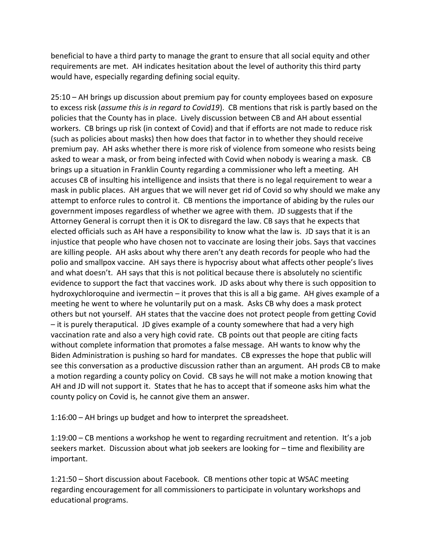beneficial to have a third party to manage the grant to ensure that all social equity and other requirements are met. AH indicates hesitation about the level of authority this third party would have, especially regarding defining social equity.

25:10 – AH brings up discussion about premium pay for county employees based on exposure to excess risk (*assume this is in regard to Covid19*). CB mentions that risk is partly based on the policies that the County has in place. Lively discussion between CB and AH about essential workers. CB brings up risk (in context of Covid) and that if efforts are not made to reduce risk (such as policies about masks) then how does that factor in to whether they should receive premium pay. AH asks whether there is more risk of violence from someone who resists being asked to wear a mask, or from being infected with Covid when nobody is wearing a mask. CB brings up a situation in Franklin County regarding a commissioner who left a meeting. AH accuses CB of insulting his intelligence and insists that there is no legal requirement to wear a mask in public places. AH argues that we will never get rid of Covid so why should we make any attempt to enforce rules to control it. CB mentions the importance of abiding by the rules our government imposes regardless of whether we agree with them. JD suggests that if the Attorney General is corrupt then it is OK to disregard the law. CB says that he expects that elected officials such as AH have a responsibility to know what the law is. JD says that it is an injustice that people who have chosen not to vaccinate are losing their jobs. Says that vaccines are killing people. AH asks about why there aren't any death records for people who had the polio and smallpox vaccine. AH says there is hypocrisy about what affects other people's lives and what doesn't. AH says that this is not political because there is absolutely no scientific evidence to support the fact that vaccines work. JD asks about why there is such opposition to hydroxychloroquine and ivermectin – it proves that this is all a big game. AH gives example of a meeting he went to where he voluntarily put on a mask. Asks CB why does a mask protect others but not yourself. AH states that the vaccine does not protect people from getting Covid – it is purely theraputical. JD gives example of a county somewhere that had a very high vaccination rate and also a very high covid rate. CB points out that people are citing facts without complete information that promotes a false message. AH wants to know why the Biden Administration is pushing so hard for mandates. CB expresses the hope that public will see this conversation as a productive discussion rather than an argument. AH prods CB to make a motion regarding a county policy on Covid. CB says he will not make a motion knowing that AH and JD will not support it. States that he has to accept that if someone asks him what the county policy on Covid is, he cannot give them an answer.

1:16:00 – AH brings up budget and how to interpret the spreadsheet.

1:19:00 – CB mentions a workshop he went to regarding recruitment and retention. It's a job seekers market. Discussion about what job seekers are looking for – time and flexibility are important.

1:21:50 – Short discussion about Facebook. CB mentions other topic at WSAC meeting regarding encouragement for all commissioners to participate in voluntary workshops and educational programs.